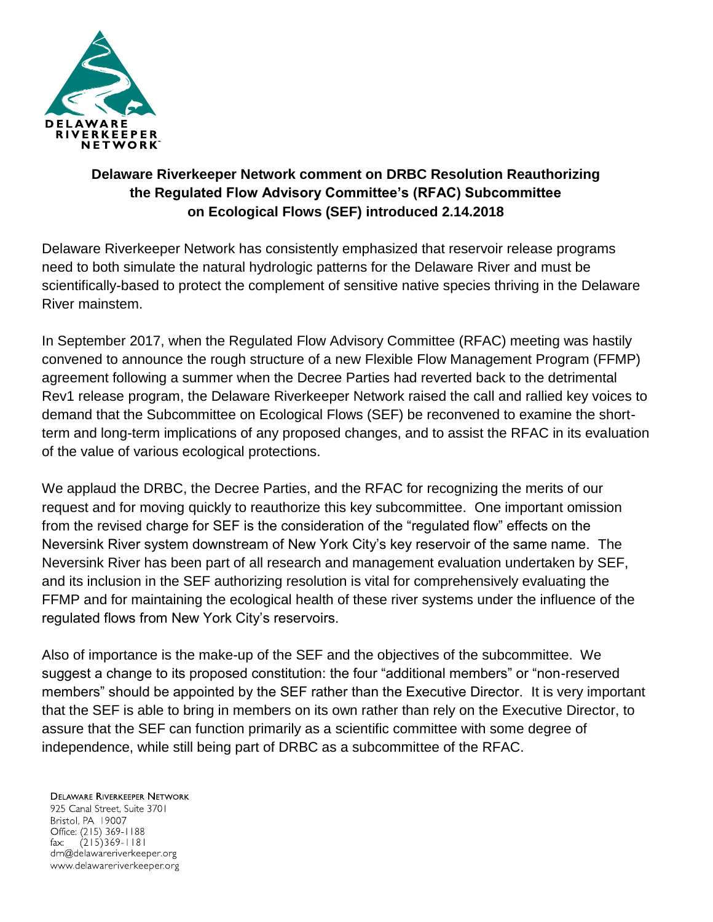

## **Delaware Riverkeeper Network comment on DRBC Resolution Reauthorizing the Regulated Flow Advisory Committee's (RFAC) Subcommittee on Ecological Flows (SEF) introduced 2.14.2018**

Delaware Riverkeeper Network has consistently emphasized that reservoir release programs need to both simulate the natural hydrologic patterns for the Delaware River and must be scientifically-based to protect the complement of sensitive native species thriving in the Delaware River mainstem.

In September 2017, when the Regulated Flow Advisory Committee (RFAC) meeting was hastily convened to announce the rough structure of a new Flexible Flow Management Program (FFMP) agreement following a summer when the Decree Parties had reverted back to the detrimental Rev1 release program, the Delaware Riverkeeper Network raised the call and rallied key voices to demand that the Subcommittee on Ecological Flows (SEF) be reconvened to examine the shortterm and long-term implications of any proposed changes, and to assist the RFAC in its evaluation of the value of various ecological protections.

We applaud the DRBC, the Decree Parties, and the RFAC for recognizing the merits of our request and for moving quickly to reauthorize this key subcommittee. One important omission from the revised charge for SEF is the consideration of the "regulated flow" effects on the Neversink River system downstream of New York City's key reservoir of the same name. The Neversink River has been part of all research and management evaluation undertaken by SEF, and its inclusion in the SEF authorizing resolution is vital for comprehensively evaluating the FFMP and for maintaining the ecological health of these river systems under the influence of the regulated flows from New York City's reservoirs.

Also of importance is the make-up of the SEF and the objectives of the subcommittee. We suggest a change to its proposed constitution: the four "additional members" or "non-reserved members" should be appointed by the SEF rather than the Executive Director. It is very important that the SEF is able to bring in members on its own rather than rely on the Executive Director, to assure that the SEF can function primarily as a scientific committee with some degree of independence, while still being part of DRBC as a subcommittee of the RFAC.

**DELAWARE RIVERKEEPER NETWORK** 925 Canal Street, Suite 3701 Bristol, PA 19007 Office: (215) 369-1188 fax:  $(215)369 - 1181$ drn@delawareriverkeeper.org www.delawareriverkeeper.org